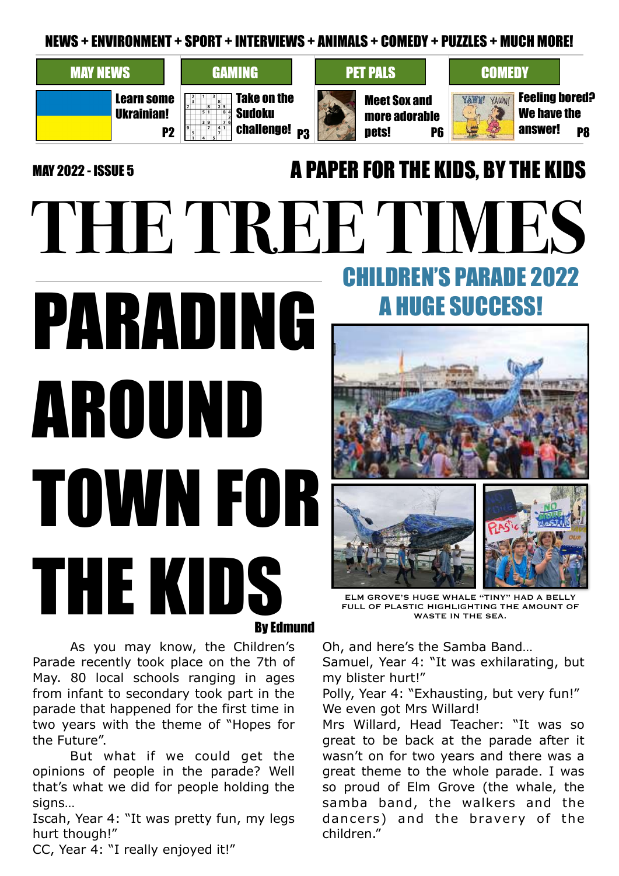NEWS + ENVIRONMENT + SPORT + INTERVIEWS + ANIMALS + COMEDY + PUZZLES + MUCH MORE!

on the

# MAY NEWS GAMING PET PALS COMEDY

Learn some Ukrainian!

|  |  |  |  | Take on |
|--|--|--|--|---------|
|  |  |  |  |         |
|  |  |  |  | Sudoku  |
|  |  |  |  |         |

Meet Sox and more adorable pets!  $P2$   $\frac{33}{2}$   $\frac{73}{2}$  challenge!  $p_3$   $p_6$   $p_7$   $p_8$ 



**N'S PARADE 2022** 

A HUGE SUCCESS!

Feeling bored? We have the answer!

# MAY 2022 - ISSUE 5 **A PAPER FOR THE KIDS, BY THE KIDS**

# **THE TREE TIMES** PARADING AROUND TOWN FOR THE KIDS By Edmund

ELM GROVE'S HUGE WHALE "TINY" HAD A BELLY FULL OF PLASTIC HIGHLIGHTING THE AMOUNT OF WASTE IN THE SEA.

 As you may know, the Children's Parade recently took place on the 7th of May. 80 local schools ranging in ages from infant to secondary took part in the parade that happened for the first time in two years with the theme of "Hopes for the Future".

 But what if we could get the opinions of people in the parade? Well that's what we did for people holding the signs...

Iscah, Year 4: "It was pretty fun, my legs hurt though!"

CC, Year 4: "I really enjoyed it!"

Oh, and here's the Samba Band…

Samuel, Year 4: "It was exhilarating, but my blister hurt!"

Polly, Year 4: "Exhausting, but very fun!" We even got Mrs Willard!

Mrs Willard, Head Teacher: "It was so great to be back at the parade after it wasn't on for two years and there was a great theme to the whole parade. I was so proud of Elm Grove (the whale, the samba band, the walkers and the dancers) and the bravery of the children."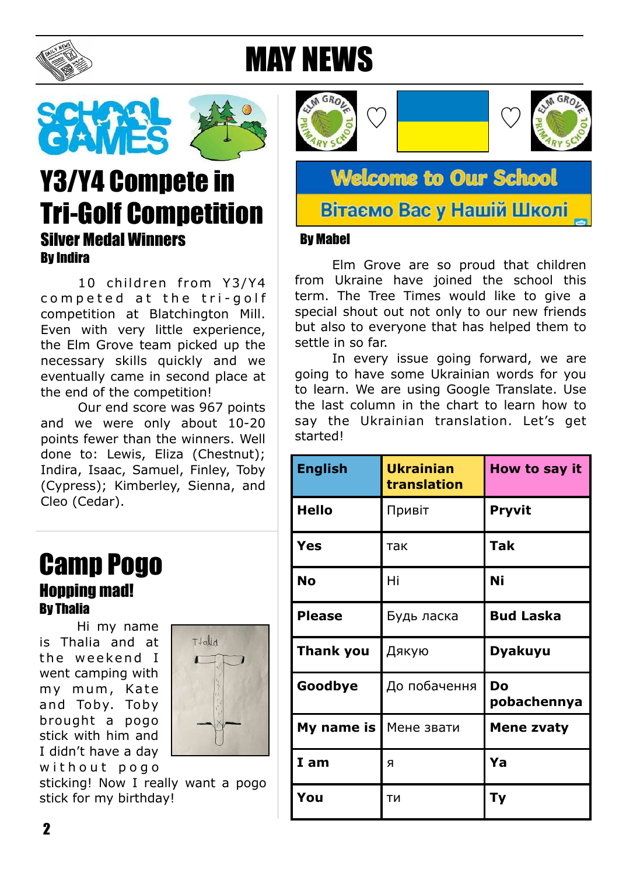

# MAY NEWS



# Y3/Y4 Compete in Tri-Golf Competition Silver Medal Winners By Indira

10 children from Y3/Y4 competed at the tri-golf competition at Blatchington Mill. Even with very little experience, the Elm Grove team picked up the necessary skills quickly and we eventually came in second place at the end of the competition!

 Our end score was 967 points and we were only about 10-20 points fewer than the winners. Well done to: Lewis, Eliza (Chestnut); Indira, Isaac, Samuel, Finley, Toby (Cypress); Kimberley, Sienna, and Cleo (Cedar).

## Camp Pogo **Honning mad!** By Thalia

 Hi my name is Thalia and at the weekend I went camping with my mum, Kate and Toby. Toby brought a pogo stick with him and I didn't have a day with out pogo



sticking! Now I really want a pogo stick for my birthday!





**Welcome to Our School** 

### Вітаємо Вас у Нашій Школі

#### By Mabel

 Elm Grove are so proud that children from Ukraine have joined the school this term. The Tree Times would like to give a special shout out not only to our new friends but also to everyone that has helped them to settle in so far.

 In every issue going forward, we are going to have some Ukrainian words for you to learn. We are using Google Translate. Use the last column in the chart to learn how to say the Ukrainian translation. Let's get started!

| <b>English</b>   | <b>Ukrainian</b><br>translation | How to say it     |
|------------------|---------------------------------|-------------------|
| <b>Hello</b>     | Привіт                          | <b>Pryvit</b>     |
| <b>Yes</b>       | так                             | <b>Tak</b>        |
| <b>No</b>        | Hi                              | Ni                |
| <b>Please</b>    | Будь ласка                      | <b>Bud Laska</b>  |
| <b>Thank you</b> | Дякую                           | <b>Dyakuyu</b>    |
| Goodbye          | До побачення                    | Do<br>pobachennya |
| My name is       | Мене звати                      | <b>Mene zvaty</b> |
| I am             | я                               | Ya                |
| You              | ТИ                              | Тy                |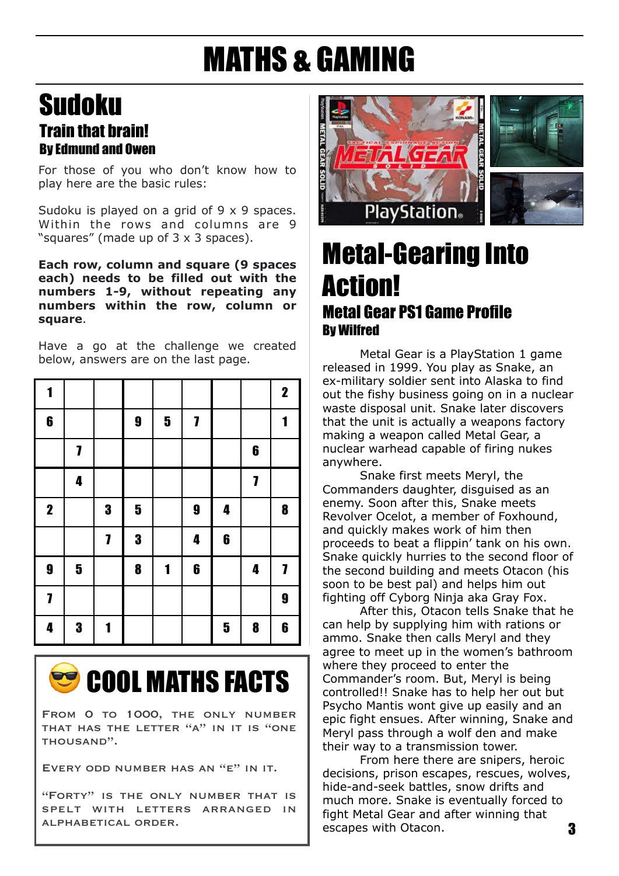# MATHS & GAMING

## Sudoku Train that brain! By Edmund and Owen

For those of you who don't know how to play here are the basic rules:

Sudoku is played on a grid of 9 x 9 spaces. Within the rows and columns are 9 "squares" (made up of 3 x 3 spaces).

**Each row, column and square (9 spaces each) needs to be filled out with the numbers 1-9, without repeating any numbers within the row, column or square**.

Have a go at the challenge we created below, answers are on the last page.

| 1                |                         |   |                         |                         |                         |                  |                  | $\mathbf 2$      |
|------------------|-------------------------|---|-------------------------|-------------------------|-------------------------|------------------|------------------|------------------|
| $\boldsymbol{6}$ |                         |   | $\boldsymbol{9}$        | $\overline{\mathbf{5}}$ | $\overline{\mathbf{I}}$ |                  |                  | 1                |
|                  | 7                       |   |                         |                         |                         |                  | $\boldsymbol{6}$ |                  |
|                  | 4                       |   |                         |                         |                         |                  | 7                |                  |
| $\mathbf 2$      |                         | 3 | $\overline{\mathbf{5}}$ |                         | $\boldsymbol{9}$        | 4                |                  | $\boldsymbol{8}$ |
|                  |                         | 7 | 3                       |                         | 4                       | $\boldsymbol{6}$ |                  |                  |
| $\boldsymbol{9}$ | $\overline{\mathbf{5}}$ |   | 8                       | 1                       | $\boldsymbol{6}$        |                  | 4                | 7                |
| $\mathbf{7}$     |                         |   |                         |                         |                         |                  |                  | $\boldsymbol{9}$ |
| 4                | 3                       | 1 |                         |                         |                         | $\mathbf 5$      | $\boldsymbol{8}$ | $\boldsymbol{6}$ |



FROM O TO 1000, THE ONLY NUMBER THAT HAS THE LETTER "A" IN IT IS "ONE thousand".

Every odd number has an "e" in it.

"Forty" is the only number that is spelt with letters arranged in alphabetical order.



# Metal-Gearing Into Action! Metal Gear PS1 Game Profile By Wilfred

 Metal Gear is a PlayStation 1 game released in 1999. You play as Snake, an ex-military soldier sent into Alaska to find out the fishy business going on in a nuclear waste disposal unit. Snake later discovers that the unit is actually a weapons factory making a weapon called Metal Gear, a nuclear warhead capable of firing nukes anywhere.

 Snake first meets Meryl, the Commanders daughter, disguised as an enemy. Soon after this, Snake meets Revolver Ocelot, a member of Foxhound, and quickly makes work of him then proceeds to beat a flippin' tank on his own. Snake quickly hurries to the second floor of the second building and meets Otacon (his soon to be best pal) and helps him out fighting off Cyborg Ninja aka Gray Fox.

 After this, Otacon tells Snake that he can help by supplying him with rations or ammo. Snake then calls Meryl and they agree to meet up in the women's bathroom where they proceed to enter the Commander's room. But, Meryl is being controlled!! Snake has to help her out but Psycho Mantis wont give up easily and an epic fight ensues. After winning, Snake and Meryl pass through a wolf den and make their way to a transmission tower.

 From here there are snipers, heroic decisions, prison escapes, rescues, wolves, hide-and-seek battles, snow drifts and much more. Snake is eventually forced to fight Metal Gear and after winning that escapes with Otacon.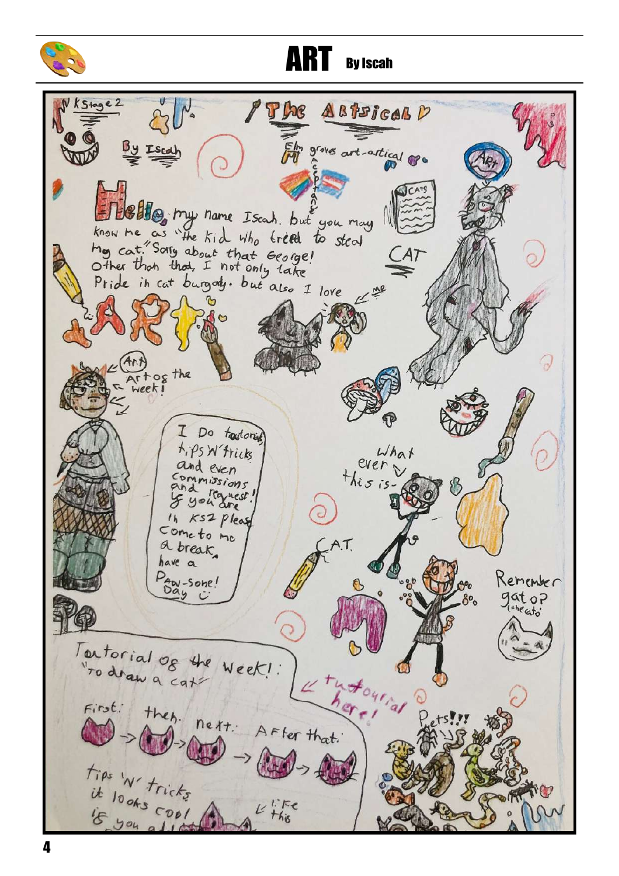

**ART** By Iscah

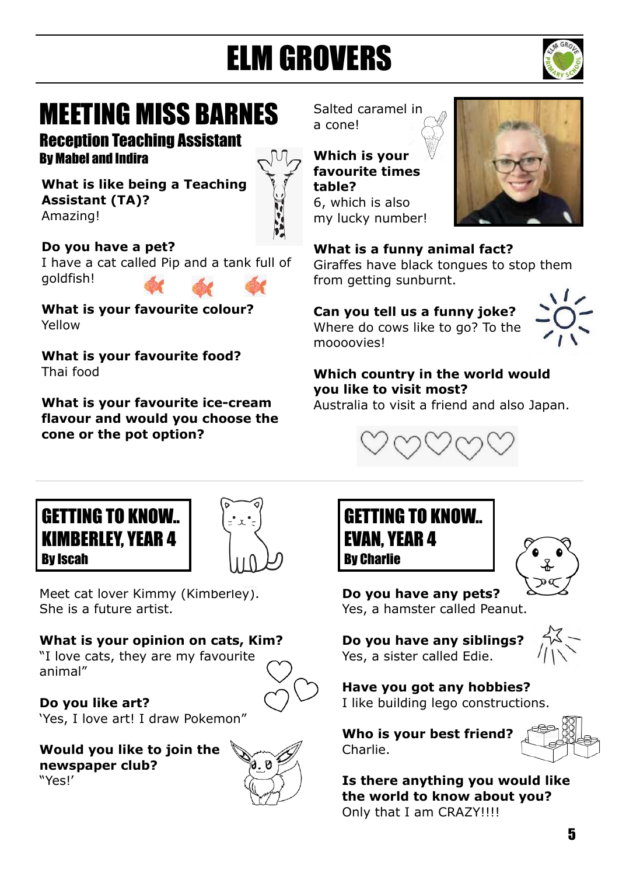# ELM GROVERS



# MEETING MISS BARNES

Reception Teaching Assistant By Mabel and Indira

**What is like being a Teaching Assistant (TA)?**  Amazing!



**Do you have a pet?**  I have a cat called Pip and a tank full of goldfish!

**What is your favourite colour?**  Yellow

**What is your favourite food?**  Thai food

**What is your favourite ice-cream flavour and would you choose the cone or the pot option?** 

Salted caramel in a cone!

**Which is your favourite times table?**  6, which is also my lucky number!



**What is a funny animal fact?** 

Giraffes have black tongues to stop them from getting sunburnt.

**Can you tell us a funny joke?**  Where do cows like to go? To the moooovies!



**Which country in the world would you like to visit most?** 

Australia to visit a friend and also Japan.







Meet cat lover Kimmy (Kimberley). She is a future artist.

#### **What is your opinion on cats, Kim?**

"I love cats, they are my favourite animal"

**Do you like art?**  'Yes, I love art! I draw Pokemon"

**Would you like to join the newspaper club?**  "Yes!'



# GETTING TO KNOW.. EVAN, YEAR 4 By Charlie



**Do you have any pets?**  Yes, a hamster called Peanut.

**Do you have any siblings?**  Yes, a sister called Edie.



**Have you got any hobbies?** 

I like building lego constructions.

**Who is your best friend?**  Charlie.



**Is there anything you would like the world to know about you?**  Only that I am CRAZY!!!!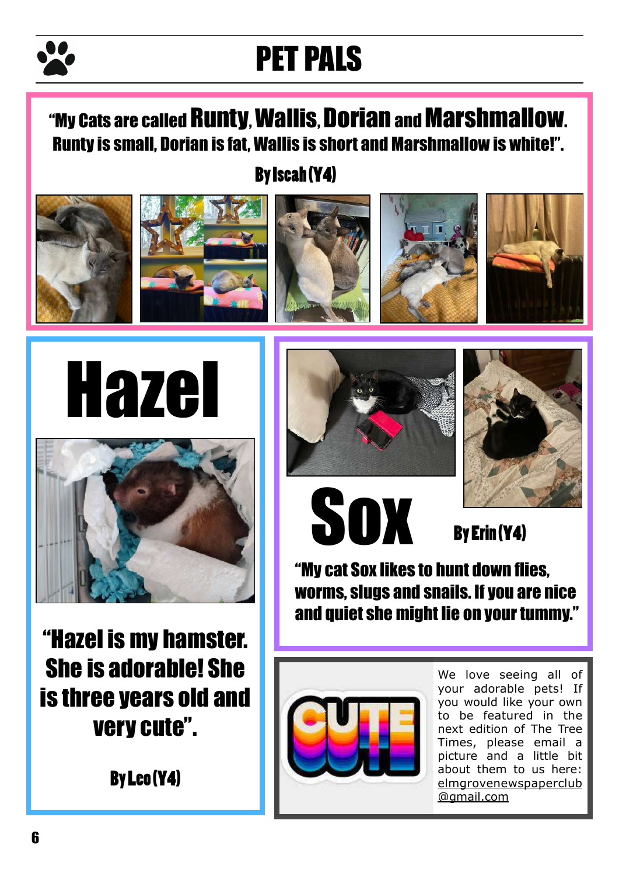# PET PALS

# "My Cats are called Runty, Wallis, Dorian and Marshmallow. Runty is small, Dorian is fat, Wallis is short and Marshmallow is white!".

By Iscah (Y4)







"Hazel is my hamster. She is adorable! She is three years old and very cute".







**Sox** 

By Erin (Y4)

"My cat Sox likes to hunt down flies, worms, slugs and snails. If you are nice and quiet she might lie on your tummy."



We love seeing all of your adorable pets! If you would like your own to be featured in the next edition of The Tree Times, please email a picture and a little bit about them to us here: [elmgrovenewspaperclub](mailto:elmgrovenewspaperclub@gmail.com) @gmail.com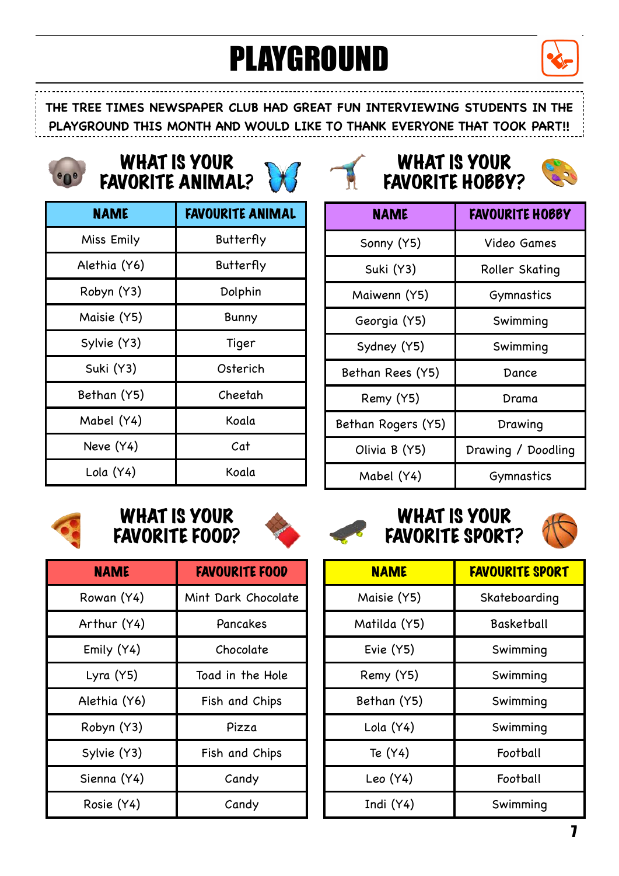# PLAYGROUND



**THE TREE TIMES NEWSPAPER CLUB HAD GREAT FUN INTERVIEWING STUDENTS IN THE PLAYGROUND THIS MONTH AND WOULD LIKE TO THANK EVERYONE THAT TOOK PART!!**

# WHAT IS YOUR WHAT IS YOUR<br>
FAVORITE ANIMAL? WHAT IS YOUR

| <b>NAME</b>  | <b>FAVOURITE ANIMAL</b> |
|--------------|-------------------------|
| Miss Emily   | Butterfly               |
| Alethia (Y6) | Butterfly               |
| Robyn (Y3)   | Dolphin                 |
| Maisie (Y5)  | Bunny                   |
| Sylvie (Y3)  | Tiger                   |
| Suki (Y3)    | Osterich                |
| Bethan (Y5)  | Cheetah                 |
| Mabel (Y4)   | Koala                   |
| Neve (Y4)    | Cat                     |
| Lola (Y4)    | Koala                   |





| <b>NAME</b>        | <b>FAVOURITE HOBBY</b> |
|--------------------|------------------------|
| Sonny (Y5)         | Video Games            |
| Suki (Y3)          | Roller Skating         |
| Maiwenn (Y5)       | Gymnastics             |
| Georgia (Y5)       | Swimming               |
| Sydney (Y5)        | Swimming               |
| Bethan Rees (Y5)   | Dance                  |
| Remy (Y5)          | Drama                  |
| Bethan Rogers (Y5) | Drawing                |
| Olivia B (Y5)      | Drawing / Doodling     |
| Mabel (Y4)         | Gymnastics             |



#### WHAT IS YOUR FAVORITE FOOD? FAVORITE FOOD? FAVORITE SPORT?



| <b>NAME</b>  | <b>FAVOURITE FOOD</b> |
|--------------|-----------------------|
| Rowan (Y4)   | Mint Dark Chocolate   |
| Arthur (Y4)  | Pancakes              |
| Emily (Y4)   | Chocolate             |
| Lyra (Y5)    | Toad in the Hole      |
| Alethia (Y6) | Fish and Chips        |
| Robyn (Y3)   | Pizza                 |
| Sylvie (Y3)  | Fish and Chips        |
| Sienna (Y4)  | Candy                 |
| Rosie (Y4)   | Candy                 |





| <b>NAME</b>  | <b>FAVOURITE SPORT</b> |
|--------------|------------------------|
| Maisie (Y5)  | Skateboarding          |
| Matilda (Y5) | Basketball             |
| Evie (Y5)    | Swimming               |
| Remy (Y5)    | Swimming               |
| Bethan (Y5)  | Swimming               |
| Lola (Y4)    | Swimming               |
| Te (Y4)      | Football               |
| Leo (Y4)     | Football               |
| Indi (Y4)    | Swimming               |

WHAT IS YOUR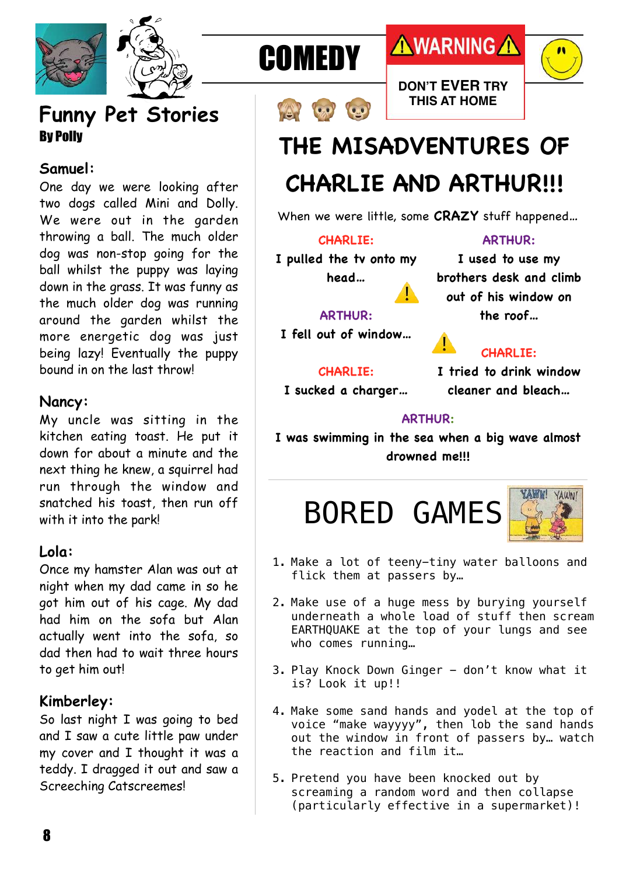

## **Funny Pet Stories**  By Polly

#### **Samuel:**

One day we were looking after two dogs called Mini and Dolly. We were out in the garden throwing a ball. The much older dog was non-stop going for the ball whilst the puppy was laying down in the grass. It was funny as the much older dog was running around the garden whilst the more energetic dog was just being lazy! Eventually the puppy bound in on the last throw!

#### **Nancy:**

My uncle was sitting in the kitchen eating toast. He put it down for about a minute and the next thing he knew, a squirrel had run through the window and snatched his toast, then run off with it into the park!

#### **Lola:**

Once my hamster Alan was out at night when my dad came in so he got him out of his cage. My dad had him on the sofa but Alan actually went into the sofa, so dad then had to wait three hours to get him out!

#### **Kimberley:**

So last night I was going to bed and I saw a cute little paw under my cover and I thought it was a teddy. I dragged it out and saw a Screeching Catscreemes!





# **AWARNING A**

**DON'T EVER TRY THIS AT HOME**





# **THE MISADVENTURES OF**

# **CHARLIE AND ARTHUR!!!**

When we were little, some **CRAZY** stuff happened…

⚠

#### **CHARLIE:**

**I pulled the tv onto my head…**

**ARTHUR:**

**I used to use my brothers desk and climb out of his window on the roof…**

#### **ARTHUR:**

**I fell out of window…**

#### **CHARLIE:**

#### **CHARLIE:**

**I sucked a charger…**

**I tried to drink window cleaner and bleach…**

#### **ARTHUR:**

⚠

**I was swimming in the sea when a big wave almost drowned me!!!**





- 1. Make a lot of teeny-tiny water balloons and flick them at passers by…
- 2. Make use of a huge mess by burying yourself underneath a whole load of stuff then scream EARTHQUAKE at the top of your lungs and see who comes running…
- 3. Play Knock Down Ginger don't know what it is? Look it up!!
- 4. Make some sand hands and yodel at the top of voice "make wayyyy", then lob the sand hands out the window in front of passers by… watch the reaction and film it…
- 5. Pretend you have been knocked out by screaming a random word and then collapse (particularly effective in a supermarket)!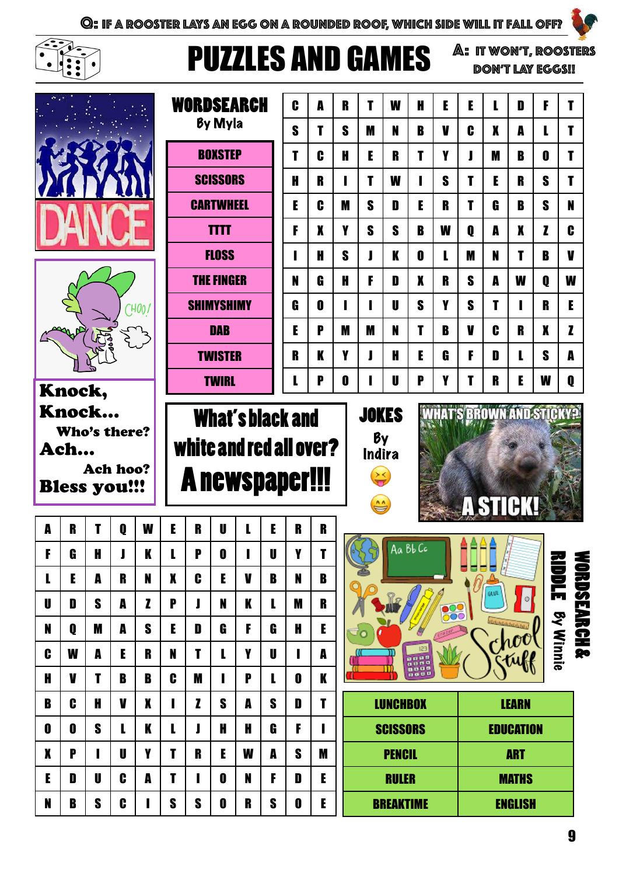

# PUZZLES AND GAMES

A: It won't, Roosters don't lay eggs!!

 $\bullet$ 

|        |                     |                 |            | WORDSEARCH        |                  | C                                | A            | R                       | т      | W      | H      | E | E             | L                                | D            | F   | T                               |      |                                |              |                  |             |
|--------|---------------------|-----------------|------------|-------------------|------------------|----------------------------------|--------------|-------------------------|--------|--------|--------|---|---------------|----------------------------------|--------------|-----|---------------------------------|------|--------------------------------|--------------|------------------|-------------|
|        |                     |                 |            | By Myla           |                  |                                  |              |                         | S      | T      | S      | M | N             | B                                | V            | C   | X                               | A    |                                | T            |                  |             |
|        |                     |                 |            |                   |                  | <b>BOXSTEP</b>                   |              |                         |        |        | C      | H | E             | R                                | T            | Y   |                                 | M    | B                              | 0            | T                |             |
|        |                     |                 |            |                   | <b>SCISSORS</b>  |                                  |              |                         | H      | R      | ı      | T | W             | ı                                | S            | T   | E                               | R    | S                              | T            |                  |             |
|        |                     |                 |            |                   | <b>CARTWHEEL</b> |                                  |              |                         |        | E      | C      | M | S             | D                                | E            | R   | T                               | G    | B                              | S            | N                |             |
|        |                     |                 |            |                   |                  | <b>TTTT</b>                      |              |                         |        | F      | X      | Y | S             | S                                | B            | W   | O                               | A    | X                              | $\mathbf{z}$ | C                |             |
|        |                     |                 |            |                   |                  |                                  | <b>FLOSS</b> |                         |        |        | н      | S | I             | K                                | $\mathbf{0}$ | L   | M                               | N    | T                              | B            | V                |             |
|        |                     |                 |            | <b>THE FINGER</b> |                  |                                  |              |                         | N      | Ĝ      | H      | F | D             | X                                | R            | S   | A                               | W    | 0                              | W            |                  |             |
|        | 7400/               |                 |            | <b>SHIMYSHIMY</b> |                  |                                  |              |                         | Ĝ      | 0      | п      |   | $\mathbf{U}$  | S                                | Y            | S   | T                               |      | R                              | E            |                  |             |
|        |                     |                 | <b>DAB</b> |                   |                  |                                  |              | E                       | P      | M      | M      | N | T             | B                                | V            | C   | R                               | X    | Z                              |              |                  |             |
|        |                     |                 |            |                   |                  | <b>TWISTER</b>                   |              |                         | R      | K      | Y      | J | H             | E                                | Ĝ            | F   | D                               | L    | S                              | A            |                  |             |
|        | Knock,              |                 |            |                   |                  | 0<br>L<br>P<br>U<br><b>TWIRL</b> |              |                         |        |        |        |   |               |                                  | P            | Y   | T                               | R    | E                              | W            | Q                |             |
|        | Knock               |                 |            |                   |                  |                                  |              | <b>What's black and</b> |        |        |        |   | <b>JOKES</b>  |                                  |              |     | <b>WHAT'S BROWN AND STICKY?</b> |      |                                |              |                  |             |
|        | Who's there?        |                 |            |                   |                  |                                  |              | white and red all over? |        |        |        |   | By            |                                  |              |     |                                 |      |                                |              |                  |             |
|        | Ach                 | <b>Ach hoo?</b> |            |                   |                  |                                  |              |                         |        |        |        |   | <b>Indira</b> |                                  |              |     |                                 |      |                                |              |                  |             |
|        | <b>Bless you!!!</b> |                 |            |                   |                  |                                  |              | <b>Anewspaper!!!</b>    |        |        |        |   |               |                                  |              |     |                                 |      |                                |              |                  |             |
|        |                     |                 |            |                   |                  |                                  |              |                         |        |        |        |   | $\mathbf{C}$  |                                  |              |     | <b>A STICK!</b>                 |      |                                |              |                  |             |
| A      | R                   | T               | 0          | W                 | E                | R                                | U            | L                       | E      | R      | R      |   |               |                                  | Aa Bb Cc     |     |                                 |      |                                |              |                  |             |
| F      | G                   | H               |            | K                 |                  | P                                | 0            |                         | U      | V      | т      |   | 画             |                                  |              |     | 동축류동                            | Ø    |                                |              |                  |             |
| L      | E                   | A               | R          | N                 | X                | C                                | E            | V                       | B      | N      | B      |   |               |                                  |              |     |                                 | GLVE | $\circ$                        |              | <u>üppr</u>      |             |
| U      | D                   | S               | A          | Z                 | P                | J                                | N            | K                       | L      | M      | R      |   |               |                                  |              | 800 |                                 |      | <b>Statisticial Columna</b>    |              |                  |             |
| N      | Q                   |                 |            |                   | E                | D                                | G            | F                       | G      | H      | E      |   |               |                                  |              |     |                                 |      |                                |              |                  |             |
| C      |                     | M               | A          | S                 |                  |                                  |              |                         |        |        |        |   | ೌಂ            |                                  |              |     |                                 |      | ~hoo                           |              |                  |             |
|        | W                   | A               | E          | R                 | N                | T                                | L            | Y                       | U      |        | A      |   |               |                                  | 123<br>នុយធន |     |                                 |      | tule                           |              | <b>By Winnie</b> |             |
| H      | V                   | т               | B          | B                 | C                | M                                |              | P                       | L      | 0      | K      |   |               |                                  | 1000         |     |                                 |      |                                |              |                  |             |
| B      | C                   | H               | V          | X                 |                  | $\mathbf{z}$                     | S            | A                       | S      | D      | T      |   |               | <b>LUNCHBOX</b>                  |              |     |                                 |      | <b>LEARN</b>                   |              |                  |             |
| 0      | 0                   | S               | L          | K                 | L                | J                                | H            | H                       | G      | F      | п      |   |               | <b>SCISSORS</b>                  |              |     |                                 |      | <b>EDUCATION</b>               |              |                  |             |
| X      | P                   |                 | U          | Y                 | T                | $\mathbf{R}$                     | E            | W                       | A      | S      | M      |   |               | <b>PENCIL</b>                    |              |     |                                 |      | <b>ART</b>                     |              |                  |             |
| E<br>N | D<br>B              | U<br>S          | C<br>C     | A                 | T<br>S           | ı<br>S                           | 0<br>0       | N<br>R                  | F<br>S | D<br>O | E<br>E |   |               | <b>RULER</b><br><b>BREAKTIME</b> |              |     |                                 |      | <b>MATHS</b><br><b>ENGLISH</b> |              |                  | ORDSEARCH & |